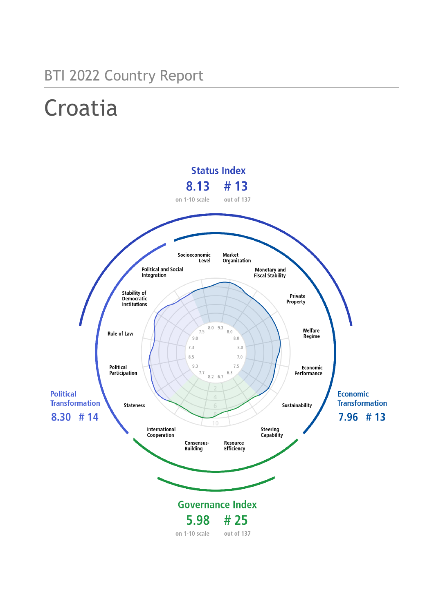## BTI 2022 Country Report

# Croatia

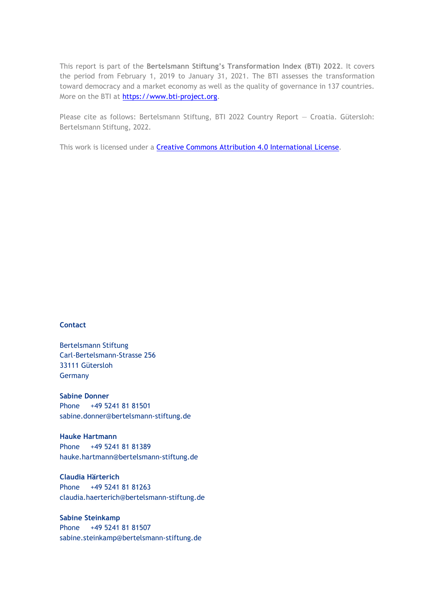This report is part of the **Bertelsmann Stiftung's Transformation Index (BTI) 2022**. It covers the period from February 1, 2019 to January 31, 2021. The BTI assesses the transformation toward democracy and a market economy as well as the quality of governance in 137 countries. More on the BTI at [https://www.bti-project.org.](https://www.bti-project.org/)

Please cite as follows: Bertelsmann Stiftung, BTI 2022 Country Report — Croatia. Gütersloh: Bertelsmann Stiftung, 2022.

This work is licensed under a **Creative Commons Attribution 4.0 International License**.

### **Contact**

Bertelsmann Stiftung Carl-Bertelsmann-Strasse 256 33111 Gütersloh Germany

**Sabine Donner** Phone +49 5241 81 81501 sabine.donner@bertelsmann-stiftung.de

**Hauke Hartmann** Phone +49 5241 81 81389 hauke.hartmann@bertelsmann-stiftung.de

**Claudia Härterich** Phone +49 5241 81 81263 claudia.haerterich@bertelsmann-stiftung.de

### **Sabine Steinkamp** Phone +49 5241 81 81507 sabine.steinkamp@bertelsmann-stiftung.de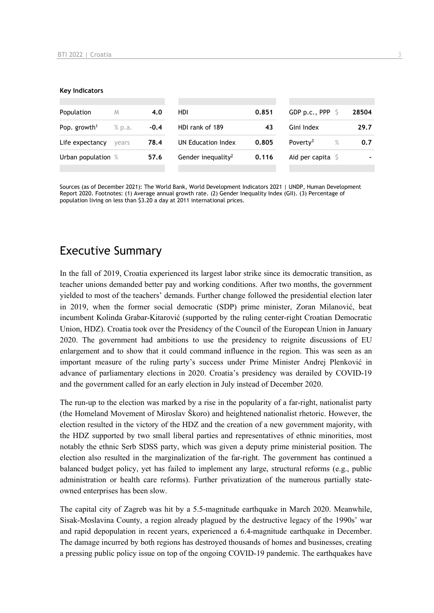#### **Key Indicators**

| Population                                   | M     | 4.0  | HDI                            | 0.851 | GDP p.c., PPP                | 28504 |
|----------------------------------------------|-------|------|--------------------------------|-------|------------------------------|-------|
| Pop. growth <sup>1</sup><br>% p.a.<br>$-0.4$ |       |      | HDI rank of 189<br>43          |       | Gini Index                   | 29.7  |
| Life expectancy                              | vears | 78.4 | UN Education Index             | 0.805 | $\%$<br>Poverty <sup>3</sup> | 0.7   |
| Urban population %                           |       | 57.6 | Gender inequality <sup>2</sup> | 0.116 | Aid per capita $\sqrt{5}$    |       |
|                                              |       |      |                                |       |                              |       |

Sources (as of December 2021): The World Bank, World Development Indicators 2021 | UNDP, Human Development Report 2020. Footnotes: (1) Average annual growth rate. (2) Gender Inequality Index (GII). (3) Percentage of population living on less than \$3.20 a day at 2011 international prices.

### Executive Summary

In the fall of 2019, Croatia experienced its largest labor strike since its democratic transition, as teacher unions demanded better pay and working conditions. After two months, the government yielded to most of the teachers' demands. Further change followed the presidential election later in 2019, when the former social democratic (SDP) prime minister, Zoran Milanović, beat incumbent Kolinda Grabar-Kitarović (supported by the ruling center-right Croatian Democratic Union, HDZ). Croatia took over the Presidency of the Council of the European Union in January 2020. The government had ambitions to use the presidency to reignite discussions of EU enlargement and to show that it could command influence in the region. This was seen as an important measure of the ruling party's success under Prime Minister Andrej Plenković in advance of parliamentary elections in 2020. Croatia's presidency was derailed by COVID-19 and the government called for an early election in July instead of December 2020.

The run-up to the election was marked by a rise in the popularity of a far-right, nationalist party (the Homeland Movement of Miroslav Škoro) and heightened nationalist rhetoric. However, the election resulted in the victory of the HDZ and the creation of a new government majority, with the HDZ supported by two small liberal parties and representatives of ethnic minorities, most notably the ethnic Serb SDSS party, which was given a deputy prime ministerial position. The election also resulted in the marginalization of the far-right. The government has continued a balanced budget policy, yet has failed to implement any large, structural reforms (e.g., public administration or health care reforms). Further privatization of the numerous partially stateowned enterprises has been slow.

The capital city of Zagreb was hit by a 5.5-magnitude earthquake in March 2020. Meanwhile, Sisak-Moslavina County, a region already plagued by the destructive legacy of the 1990s' war and rapid depopulation in recent years, experienced a 6.4-magnitude earthquake in December. The damage incurred by both regions has destroyed thousands of homes and businesses, creating a pressing public policy issue on top of the ongoing COVID-19 pandemic. The earthquakes have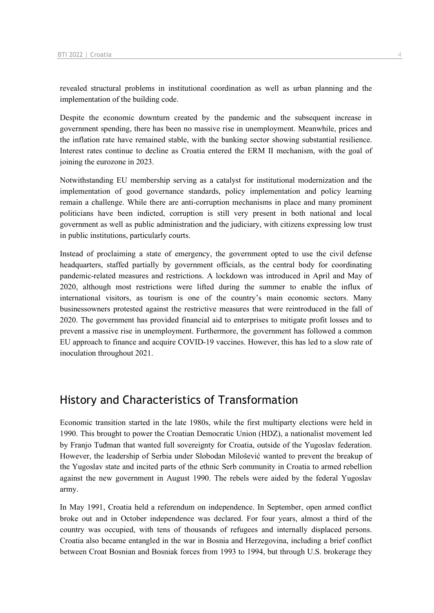revealed structural problems in institutional coordination as well as urban planning and the implementation of the building code.

Despite the economic downturn created by the pandemic and the subsequent increase in government spending, there has been no massive rise in unemployment. Meanwhile, prices and the inflation rate have remained stable, with the banking sector showing substantial resilience. Interest rates continue to decline as Croatia entered the ERM II mechanism, with the goal of joining the eurozone in 2023.

Notwithstanding EU membership serving as a catalyst for institutional modernization and the implementation of good governance standards, policy implementation and policy learning remain a challenge. While there are anti-corruption mechanisms in place and many prominent politicians have been indicted, corruption is still very present in both national and local government as well as public administration and the judiciary, with citizens expressing low trust in public institutions, particularly courts.

Instead of proclaiming a state of emergency, the government opted to use the civil defense headquarters, staffed partially by government officials, as the central body for coordinating pandemic-related measures and restrictions. A lockdown was introduced in April and May of 2020, although most restrictions were lifted during the summer to enable the influx of international visitors, as tourism is one of the country's main economic sectors. Many businessowners protested against the restrictive measures that were reintroduced in the fall of 2020. The government has provided financial aid to enterprises to mitigate profit losses and to prevent a massive rise in unemployment. Furthermore, the government has followed a common EU approach to finance and acquire COVID-19 vaccines. However, this has led to a slow rate of inoculation throughout 2021.

### History and Characteristics of Transformation

Economic transition started in the late 1980s, while the first multiparty elections were held in 1990. This brought to power the Croatian Democratic Union (HDZ), a nationalist movement led by Franjo Tuđman that wanted full sovereignty for Croatia, outside of the Yugoslav federation. However, the leadership of Serbia under Slobodan Milošević wanted to prevent the breakup of the Yugoslav state and incited parts of the ethnic Serb community in Croatia to armed rebellion against the new government in August 1990. The rebels were aided by the federal Yugoslav army.

In May 1991, Croatia held a referendum on independence. In September, open armed conflict broke out and in October independence was declared. For four years, almost a third of the country was occupied, with tens of thousands of refugees and internally displaced persons. Croatia also became entangled in the war in Bosnia and Herzegovina, including a brief conflict between Croat Bosnian and Bosniak forces from 1993 to 1994, but through U.S. brokerage they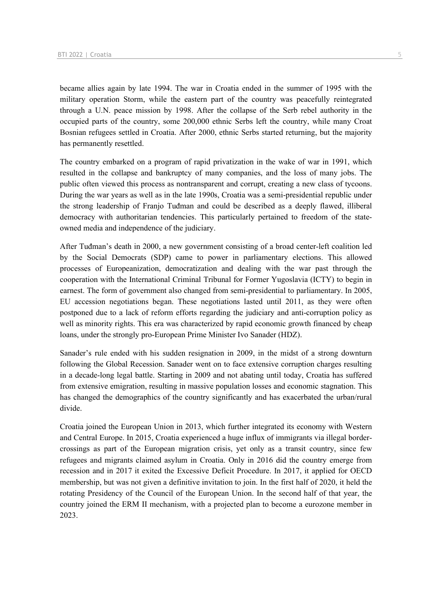became allies again by late 1994. The war in Croatia ended in the summer of 1995 with the military operation Storm, while the eastern part of the country was peacefully reintegrated through a U.N. peace mission by 1998. After the collapse of the Serb rebel authority in the occupied parts of the country, some 200,000 ethnic Serbs left the country, while many Croat Bosnian refugees settled in Croatia. After 2000, ethnic Serbs started returning, but the majority has permanently resettled.

The country embarked on a program of rapid privatization in the wake of war in 1991, which resulted in the collapse and bankruptcy of many companies, and the loss of many jobs. The public often viewed this process as nontransparent and corrupt, creating a new class of tycoons. During the war years as well as in the late 1990s, Croatia was a semi-presidential republic under the strong leadership of Franjo Tuđman and could be described as a deeply flawed, illiberal democracy with authoritarian tendencies. This particularly pertained to freedom of the stateowned media and independence of the judiciary.

After Tuđman's death in 2000, a new government consisting of a broad center-left coalition led by the Social Democrats (SDP) came to power in parliamentary elections. This allowed processes of Europeanization, democratization and dealing with the war past through the cooperation with the International Criminal Tribunal for Former Yugoslavia (ICTY) to begin in earnest. The form of government also changed from semi-presidential to parliamentary. In 2005, EU accession negotiations began. These negotiations lasted until 2011, as they were often postponed due to a lack of reform efforts regarding the judiciary and anti-corruption policy as well as minority rights. This era was characterized by rapid economic growth financed by cheap loans, under the strongly pro-European Prime Minister Ivo Sanader (HDZ).

Sanader's rule ended with his sudden resignation in 2009, in the midst of a strong downturn following the Global Recession. Sanader went on to face extensive corruption charges resulting in a decade-long legal battle. Starting in 2009 and not abating until today, Croatia has suffered from extensive emigration, resulting in massive population losses and economic stagnation. This has changed the demographics of the country significantly and has exacerbated the urban/rural divide.

Croatia joined the European Union in 2013, which further integrated its economy with Western and Central Europe. In 2015, Croatia experienced a huge influx of immigrants via illegal bordercrossings as part of the European migration crisis, yet only as a transit country, since few refugees and migrants claimed asylum in Croatia. Only in 2016 did the country emerge from recession and in 2017 it exited the Excessive Deficit Procedure. In 2017, it applied for OECD membership, but was not given a definitive invitation to join. In the first half of 2020, it held the rotating Presidency of the Council of the European Union. In the second half of that year, the country joined the ERM II mechanism, with a projected plan to become a eurozone member in 2023.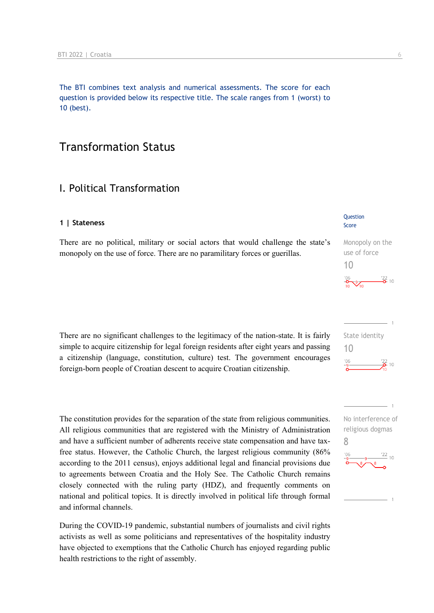The BTI combines text analysis and numerical assessments. The score for each question is provided below its respective title. The scale ranges from 1 (worst) to 10 (best).

### Transformation Status

### I. Political Transformation

### **1 | Stateness**

There are no political, military or social actors that would challenge the state's monopoly on the use of force. There are no paramilitary forces or guerillas.

There are no significant challenges to the legitimacy of the nation-state. It is fairly simple to acquire citizenship for legal foreign residents after eight years and passing a citizenship (language, constitution, culture) test. The government encourages foreign-born people of Croatian descent to acquire Croatian citizenship.

The constitution provides for the separation of the state from religious communities. All religious communities that are registered with the Ministry of Administration and have a sufficient number of adherents receive state compensation and have taxfree status. However, the Catholic Church, the largest religious community (86% according to the 2011 census), enjoys additional legal and financial provisions due to agreements between Croatia and the Holy See. The Catholic Church remains closely connected with the ruling party (HDZ), and frequently comments on national and political topics. It is directly involved in political life through formal and informal channels.

During the COVID-19 pandemic, substantial numbers of journalists and civil rights activists as well as some politicians and representatives of the hospitality industry have objected to exemptions that the Catholic Church has enjoyed regarding public health restrictions to the right of assembly.

### Question Score

Monopoly on the use of force 10  $\frac{22}{6}$  10



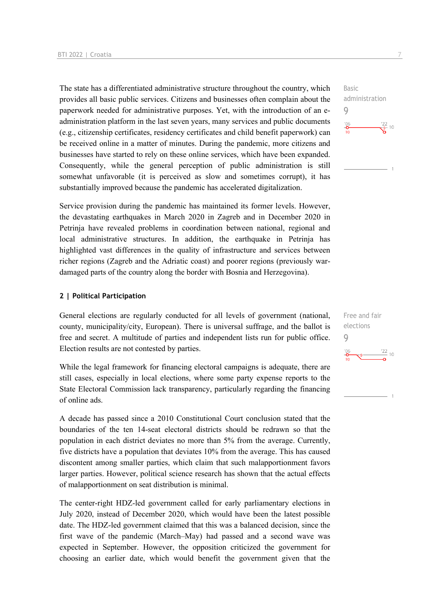The state has a differentiated administrative structure throughout the country, which provides all basic public services. Citizens and businesses often complain about the paperwork needed for administrative purposes. Yet, with the introduction of an eadministration platform in the last seven years, many services and public documents (e.g., citizenship certificates, residency certificates and child benefit paperwork) can be received online in a matter of minutes. During the pandemic, more citizens and businesses have started to rely on these online services, which have been expanded. Consequently, while the general perception of public administration is still somewhat unfavorable (it is perceived as slow and sometimes corrupt), it has substantially improved because the pandemic has accelerated digitalization.

Service provision during the pandemic has maintained its former levels. However, the devastating earthquakes in March 2020 in Zagreb and in December 2020 in Petrinja have revealed problems in coordination between national, regional and local administrative structures. In addition, the earthquake in Petrinja has highlighted vast differences in the quality of infrastructure and services between richer regions (Zagreb and the Adriatic coast) and poorer regions (previously wardamaged parts of the country along the border with Bosnia and Herzegovina).

#### **2 | Political Participation**

General elections are regularly conducted for all levels of government (national, county, municipality/city, European). There is universal suffrage, and the ballot is free and secret. A multitude of parties and independent lists run for public office. Election results are not contested by parties.

While the legal framework for financing electoral campaigns is adequate, there are still cases, especially in local elections, where some party expense reports to the State Electoral Commission lack transparency, particularly regarding the financing of online ads.

A decade has passed since a 2010 Constitutional Court conclusion stated that the boundaries of the ten 14-seat electoral districts should be redrawn so that the population in each district deviates no more than 5% from the average. Currently, five districts have a population that deviates 10% from the average. This has caused discontent among smaller parties, which claim that such malapportionment favors larger parties. However, political science research has shown that the actual effects of malapportionment on seat distribution is minimal.

The center-right HDZ-led government called for early parliamentary elections in July 2020, instead of December 2020, which would have been the latest possible date. The HDZ-led government claimed that this was a balanced decision, since the first wave of the pandemic (March–May) had passed and a second wave was expected in September. However, the opposition criticized the government for choosing an earlier date, which would benefit the government given that the



Basic

9

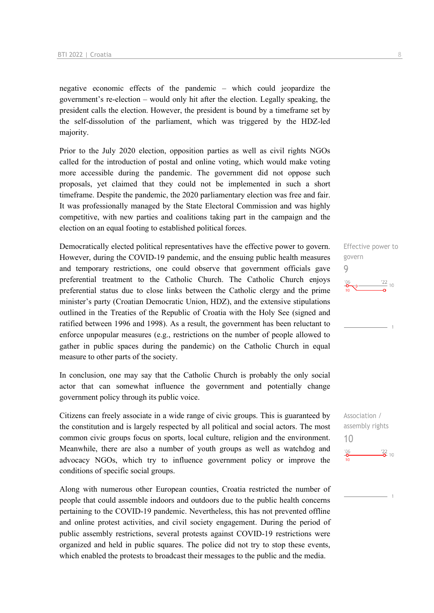negative economic effects of the pandemic – which could jeopardize the government's re-election – would only hit after the election. Legally speaking, the president calls the election. However, the president is bound by a timeframe set by the self-dissolution of the parliament, which was triggered by the HDZ-led majority.

Prior to the July 2020 election, opposition parties as well as civil rights NGOs called for the introduction of postal and online voting, which would make voting more accessible during the pandemic. The government did not oppose such proposals, yet claimed that they could not be implemented in such a short timeframe. Despite the pandemic, the 2020 parliamentary election was free and fair. It was professionally managed by the State Electoral Commission and was highly competitive, with new parties and coalitions taking part in the campaign and the election on an equal footing to established political forces.

Democratically elected political representatives have the effective power to govern. However, during the COVID-19 pandemic, and the ensuing public health measures and temporary restrictions, one could observe that government officials gave preferential treatment to the Catholic Church. The Catholic Church enjoys preferential status due to close links between the Catholic clergy and the prime minister's party (Croatian Democratic Union, HDZ), and the extensive stipulations outlined in the Treaties of the Republic of Croatia with the Holy See (signed and ratified between 1996 and 1998). As a result, the government has been reluctant to enforce unpopular measures (e.g., restrictions on the number of people allowed to gather in public spaces during the pandemic) on the Catholic Church in equal measure to other parts of the society.

In conclusion, one may say that the Catholic Church is probably the only social actor that can somewhat influence the government and potentially change government policy through its public voice.

Citizens can freely associate in a wide range of civic groups. This is guaranteed by the constitution and is largely respected by all political and social actors. The most common civic groups focus on sports, local culture, religion and the environment. Meanwhile, there are also a number of youth groups as well as watchdog and advocacy NGOs, which try to influence government policy or improve the conditions of specific social groups.

Along with numerous other European counties, Croatia restricted the number of people that could assemble indoors and outdoors due to the public health concerns pertaining to the COVID-19 pandemic. Nevertheless, this has not prevented offline and online protest activities, and civil society engagement. During the period of public assembly restrictions, several protests against COVID-19 restrictions were organized and held in public squares. The police did not try to stop these events, which enabled the protests to broadcast their messages to the public and the media.

Effective power to govern 9  $\frac{22}{10}$ 

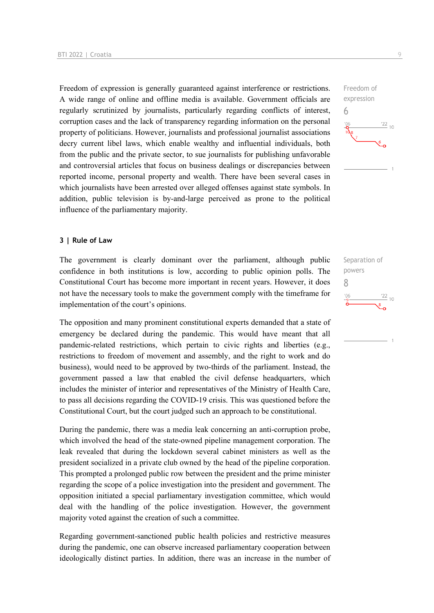Freedom of expression is generally guaranteed against interference or restrictions. A wide range of online and offline media is available. Government officials are regularly scrutinized by journalists, particularly regarding conflicts of interest, corruption cases and the lack of transparency regarding information on the personal property of politicians. However, journalists and professional journalist associations decry current libel laws, which enable wealthy and influential individuals, both from the public and the private sector, to sue journalists for publishing unfavorable and controversial articles that focus on business dealings or discrepancies between reported income, personal property and wealth. There have been several cases in which journalists have been arrested over alleged offenses against state symbols. In addition, public television is by-and-large perceived as prone to the political influence of the parliamentary majority.

#### **3 | Rule of Law**

The government is clearly dominant over the parliament, although public confidence in both institutions is low, according to public opinion polls. The Constitutional Court has become more important in recent years. However, it does not have the necessary tools to make the government comply with the timeframe for implementation of the court's opinions.

The opposition and many prominent constitutional experts demanded that a state of emergency be declared during the pandemic. This would have meant that all pandemic-related restrictions, which pertain to civic rights and liberties (e.g., restrictions to freedom of movement and assembly, and the right to work and do business), would need to be approved by two-thirds of the parliament. Instead, the government passed a law that enabled the civil defense headquarters, which includes the minister of interior and representatives of the Ministry of Health Care, to pass all decisions regarding the COVID-19 crisis. This was questioned before the Constitutional Court, but the court judged such an approach to be constitutional.

During the pandemic, there was a media leak concerning an anti-corruption probe, which involved the head of the state-owned pipeline management corporation. The leak revealed that during the lockdown several cabinet ministers as well as the president socialized in a private club owned by the head of the pipeline corporation. This prompted a prolonged public row between the president and the prime minister regarding the scope of a police investigation into the president and government. The opposition initiated a special parliamentary investigation committee, which would deal with the handling of the police investigation. However, the government majority voted against the creation of such a committee.

Regarding government-sanctioned public health policies and restrictive measures during the pandemic, one can observe increased parliamentary cooperation between ideologically distinct parties. In addition, there was an increase in the number of



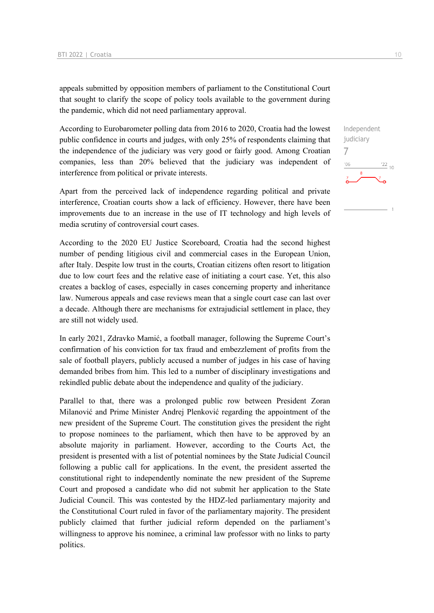appeals submitted by opposition members of parliament to the Constitutional Court that sought to clarify the scope of policy tools available to the government during the pandemic, which did not need parliamentary approval.

According to Eurobarometer polling data from 2016 to 2020, Croatia had the lowest public confidence in courts and judges, with only 25% of respondents claiming that the independence of the judiciary was very good or fairly good. Among Croatian companies, less than 20% believed that the judiciary was independent of interference from political or private interests.

Apart from the perceived lack of independence regarding political and private interference, Croatian courts show a lack of efficiency. However, there have been improvements due to an increase in the use of IT technology and high levels of media scrutiny of controversial court cases.

According to the 2020 EU Justice Scoreboard, Croatia had the second highest number of pending litigious civil and commercial cases in the European Union, after Italy. Despite low trust in the courts, Croatian citizens often resort to litigation due to low court fees and the relative ease of initiating a court case. Yet, this also creates a backlog of cases, especially in cases concerning property and inheritance law. Numerous appeals and case reviews mean that a single court case can last over a decade. Although there are mechanisms for extrajudicial settlement in place, they are still not widely used.

In early 2021, Zdravko Mamić, a football manager, following the Supreme Court's confirmation of his conviction for tax fraud and embezzlement of profits from the sale of football players, publicly accused a number of judges in his case of having demanded bribes from him. This led to a number of disciplinary investigations and rekindled public debate about the independence and quality of the judiciary.

Parallel to that, there was a prolonged public row between President Zoran Milanović and Prime Minister Andrej Plenković regarding the appointment of the new president of the Supreme Court. The constitution gives the president the right to propose nominees to the parliament, which then have to be approved by an absolute majority in parliament. However, according to the Courts Act, the president is presented with a list of potential nominees by the State Judicial Council following a public call for applications. In the event, the president asserted the constitutional right to independently nominate the new president of the Supreme Court and proposed a candidate who did not submit her application to the State Judicial Council. This was contested by the HDZ-led parliamentary majority and the Constitutional Court ruled in favor of the parliamentary majority. The president publicly claimed that further judicial reform depended on the parliament's willingness to approve his nominee, a criminal law professor with no links to party politics.

 $\frac{22}{10}$ 

7

 $06'$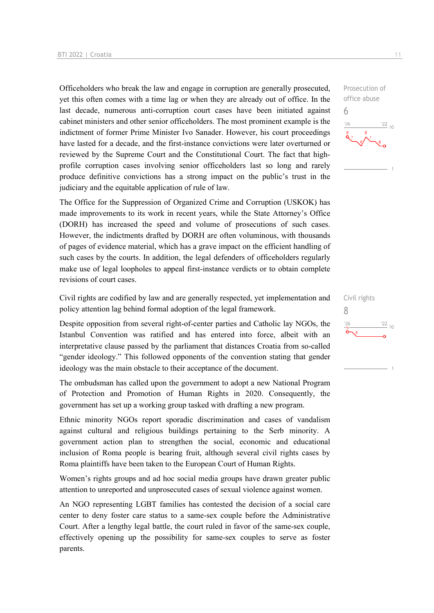Officeholders who break the law and engage in corruption are generally prosecuted, yet this often comes with a time lag or when they are already out of office. In the last decade, numerous anti-corruption court cases have been initiated against cabinet ministers and other senior officeholders. The most prominent example is the indictment of former Prime Minister Ivo Sanader. However, his court proceedings have lasted for a decade, and the first-instance convictions were later overturned or reviewed by the Supreme Court and the Constitutional Court. The fact that highprofile corruption cases involving senior officeholders last so long and rarely produce definitive convictions has a strong impact on the public's trust in the judiciary and the equitable application of rule of law.

The Office for the Suppression of Organized Crime and Corruption (USKOK) has made improvements to its work in recent years, while the State Attorney's Office (DORH) has increased the speed and volume of prosecutions of such cases. However, the indictments drafted by DORH are often voluminous, with thousands of pages of evidence material, which has a grave impact on the efficient handling of such cases by the courts. In addition, the legal defenders of officeholders regularly make use of legal loopholes to appeal first-instance verdicts or to obtain complete revisions of court cases.

Civil rights are codified by law and are generally respected, yet implementation and policy attention lag behind formal adoption of the legal framework.

Despite opposition from several right-of-center parties and Catholic lay NGOs, the Istanbul Convention was ratified and has entered into force, albeit with an interpretative clause passed by the parliament that distances Croatia from so-called "gender ideology." This followed opponents of the convention stating that gender ideology was the main obstacle to their acceptance of the document.

The ombudsman has called upon the government to adopt a new National Program of Protection and Promotion of Human Rights in 2020. Consequently, the government has set up a working group tasked with drafting a new program.

Ethnic minority NGOs report sporadic discrimination and cases of vandalism against cultural and religious buildings pertaining to the Serb minority. A government action plan to strengthen the social, economic and educational inclusion of Roma people is bearing fruit, although several civil rights cases by Roma plaintiffs have been taken to the European Court of Human Rights.

Women's rights groups and ad hoc social media groups have drawn greater public attention to unreported and unprosecuted cases of sexual violence against women.

An NGO representing LGBT families has contested the decision of a social care center to deny foster care status to a same-sex couple before the Administrative Court. After a lengthy legal battle, the court ruled in favor of the same-sex couple, effectively opening up the possibility for same-sex couples to serve as foster parents.

6

 $-06$ 

Civil rights 8 $\frac{22}{10}$  $-06$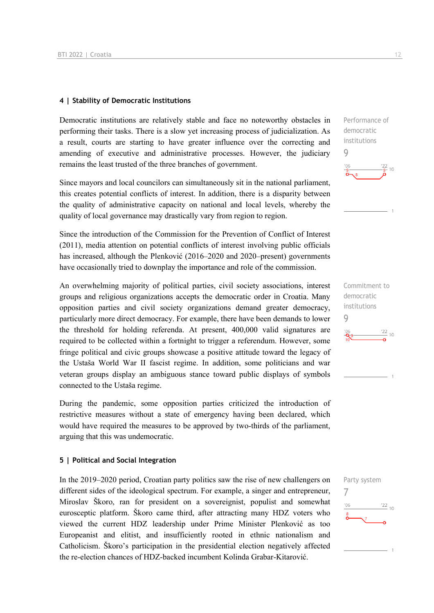### **4 | Stability of Democratic Institutions**

Democratic institutions are relatively stable and face no noteworthy obstacles in performing their tasks. There is a slow yet increasing process of judicialization. As a result, courts are starting to have greater influence over the correcting and amending of executive and administrative processes. However, the judiciary remains the least trusted of the three branches of government.

Since mayors and local councilors can simultaneously sit in the national parliament, this creates potential conflicts of interest. In addition, there is a disparity between the quality of administrative capacity on national and local levels, whereby the quality of local governance may drastically vary from region to region.

Since the introduction of the Commission for the Prevention of Conflict of Interest (2011), media attention on potential conflicts of interest involving public officials has increased, although the Plenković (2016–2020 and 2020–present) governments have occasionally tried to downplay the importance and role of the commission.

An overwhelming majority of political parties, civil society associations, interest groups and religious organizations accepts the democratic order in Croatia. Many opposition parties and civil society organizations demand greater democracy, particularly more direct democracy. For example, there have been demands to lower the threshold for holding referenda. At present, 400,000 valid signatures are required to be collected within a fortnight to trigger a referendum. However, some fringe political and civic groups showcase a positive attitude toward the legacy of the Ustaša World War II fascist regime. In addition, some politicians and war veteran groups display an ambiguous stance toward public displays of symbols connected to the Ustaša regime.

During the pandemic, some opposition parties criticized the introduction of restrictive measures without a state of emergency having been declared, which would have required the measures to be approved by two-thirds of the parliament, arguing that this was undemocratic.

### **5 | Political and Social Integration**

In the 2019–2020 period, Croatian party politics saw the rise of new challengers on different sides of the ideological spectrum. For example, a singer and entrepreneur, Miroslav Škoro, ran for president on a sovereignist, populist and somewhat eurosceptic platform. Škoro came third, after attracting many HDZ voters who viewed the current HDZ leadership under Prime Minister Plenković as too Europeanist and elitist, and insufficiently rooted in ethnic nationalism and Catholicism. Škoro's participation in the presidential election negatively affected the re-election chances of HDZ-backed incumbent Kolinda Grabar-Kitarović.

Performance of democratic institutions 9  $22$  $10$ 



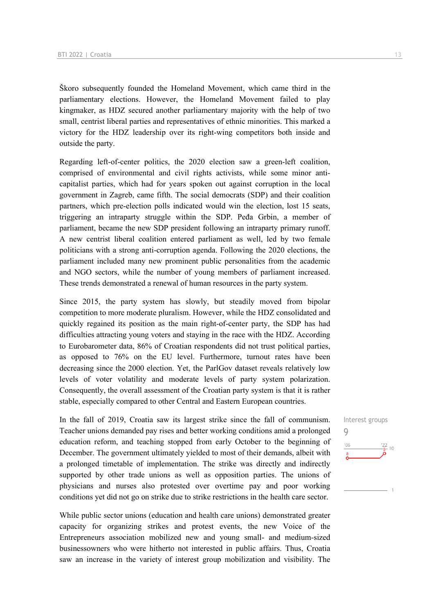Škoro subsequently founded the Homeland Movement, which came third in the parliamentary elections. However, the Homeland Movement failed to play kingmaker, as HDZ secured another parliamentary majority with the help of two small, centrist liberal parties and representatives of ethnic minorities. This marked a victory for the HDZ leadership over its right-wing competitors both inside and outside the party.

Regarding left-of-center politics, the 2020 election saw a green-left coalition, comprised of environmental and civil rights activists, while some minor anticapitalist parties, which had for years spoken out against corruption in the local government in Zagreb, came fifth. The social democrats (SDP) and their coalition partners, which pre-election polls indicated would win the election, lost 15 seats, triggering an intraparty struggle within the SDP. Peđa Grbin, a member of parliament, became the new SDP president following an intraparty primary runoff. A new centrist liberal coalition entered parliament as well, led by two female politicians with a strong anti-corruption agenda. Following the 2020 elections, the parliament included many new prominent public personalities from the academic and NGO sectors, while the number of young members of parliament increased. These trends demonstrated a renewal of human resources in the party system.

Since 2015, the party system has slowly, but steadily moved from bipolar competition to more moderate pluralism. However, while the HDZ consolidated and quickly regained its position as the main right-of-center party, the SDP has had difficulties attracting young voters and staying in the race with the HDZ. According to Eurobarometer data, 86% of Croatian respondents did not trust political parties, as opposed to 76% on the EU level. Furthermore, turnout rates have been decreasing since the 2000 election. Yet, the ParlGov dataset reveals relatively low levels of voter volatility and moderate levels of party system polarization. Consequently, the overall assessment of the Croatian party system is that it is rather stable, especially compared to other Central and Eastern European countries.

In the fall of 2019, Croatia saw its largest strike since the fall of communism. Teacher unions demanded pay rises and better working conditions amid a prolonged education reform, and teaching stopped from early October to the beginning of December. The government ultimately yielded to most of their demands, albeit with a prolonged timetable of implementation. The strike was directly and indirectly supported by other trade unions as well as opposition parties. The unions of physicians and nurses also protested over overtime pay and poor working conditions yet did not go on strike due to strike restrictions in the health care sector.

While public sector unions (education and health care unions) demonstrated greater capacity for organizing strikes and protest events, the new Voice of the Entrepreneurs association mobilized new and young small- and medium-sized businessowners who were hitherto not interested in public affairs. Thus, Croatia saw an increase in the variety of interest group mobilization and visibility. The

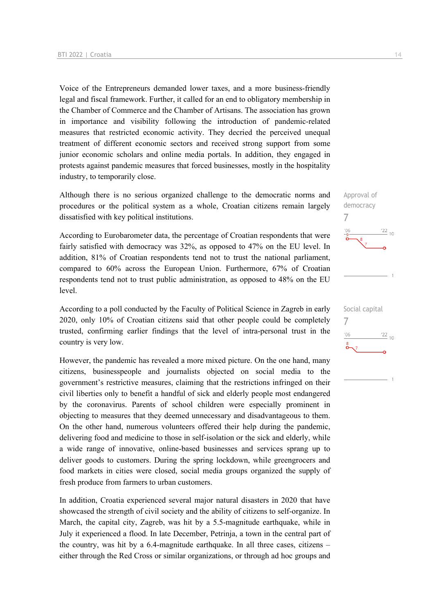Voice of the Entrepreneurs demanded lower taxes, and a more business-friendly legal and fiscal framework. Further, it called for an end to obligatory membership in the Chamber of Commerce and the Chamber of Artisans. The association has grown in importance and visibility following the introduction of pandemic-related measures that restricted economic activity. They decried the perceived unequal treatment of different economic sectors and received strong support from some junior economic scholars and online media portals. In addition, they engaged in protests against pandemic measures that forced businesses, mostly in the hospitality industry, to temporarily close.

Although there is no serious organized challenge to the democratic norms and procedures or the political system as a whole, Croatian citizens remain largely dissatisfied with key political institutions.

According to Eurobarometer data, the percentage of Croatian respondents that were fairly satisfied with democracy was 32%, as opposed to 47% on the EU level. In addition, 81% of Croatian respondents tend not to trust the national parliament, compared to 60% across the European Union. Furthermore, 67% of Croatian respondents tend not to trust public administration, as opposed to 48% on the EU level.

According to a poll conducted by the Faculty of Political Science in Zagreb in early 2020, only 10% of Croatian citizens said that other people could be completely trusted, confirming earlier findings that the level of intra-personal trust in the country is very low.

However, the pandemic has revealed a more mixed picture. On the one hand, many citizens, businesspeople and journalists objected on social media to the government's restrictive measures, claiming that the restrictions infringed on their civil liberties only to benefit a handful of sick and elderly people most endangered by the coronavirus. Parents of school children were especially prominent in objecting to measures that they deemed unnecessary and disadvantageous to them. On the other hand, numerous volunteers offered their help during the pandemic, delivering food and medicine to those in self-isolation or the sick and elderly, while a wide range of innovative, online-based businesses and services sprang up to deliver goods to customers. During the spring lockdown, while greengrocers and food markets in cities were closed, social media groups organized the supply of fresh produce from farmers to urban customers.

In addition, Croatia experienced several major natural disasters in 2020 that have showcased the strength of civil society and the ability of citizens to self-organize. In March, the capital city, Zagreb, was hit by a 5.5-magnitude earthquake, while in July it experienced a flood. In late December, Petrinja, a town in the central part of the country, was hit by a 6.4-magnitude earthquake. In all three cases, citizens – either through the Red Cross or similar organizations, or through ad hoc groups and

 $\frac{22}{10}$ Social capital 7 $-06$  $\frac{22}{10}$  $\delta$ 

Approval of democracy

7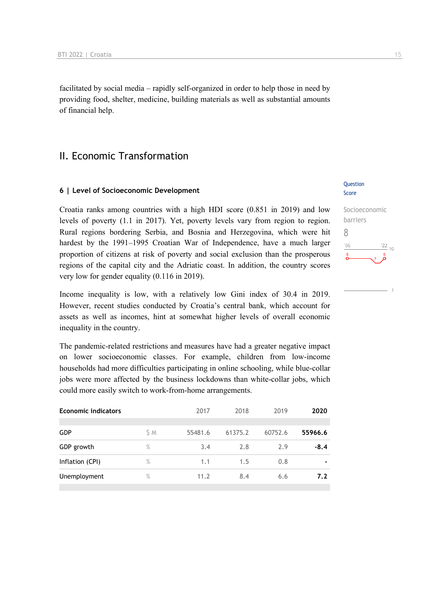facilitated by social media – rapidly self-organized in order to help those in need by providing food, shelter, medicine, building materials as well as substantial amounts of financial help.

### II. Economic Transformation

#### **6 | Level of Socioeconomic Development**

Croatia ranks among countries with a high HDI score (0.851 in 2019) and low levels of poverty (1.1 in 2017). Yet, poverty levels vary from region to region. Rural regions bordering Serbia, and Bosnia and Herzegovina, which were hit hardest by the 1991–1995 Croatian War of Independence, have a much larger proportion of citizens at risk of poverty and social exclusion than the prosperous regions of the capital city and the Adriatic coast. In addition, the country scores very low for gender equality (0.116 in 2019).

Income inequality is low, with a relatively low Gini index of 30.4 in 2019. However, recent studies conducted by Croatia's central bank, which account for assets as well as incomes, hint at somewhat higher levels of overall economic inequality in the country.

The pandemic-related restrictions and measures have had a greater negative impact on lower socioeconomic classes. For example, children from low-income households had more difficulties participating in online schooling, while blue-collar jobs were more affected by the business lockdowns than white-collar jobs, which could more easily switch to work-from-home arrangements.

| <b>Economic indicators</b> |      | 2017    | 2018    | 2019    | 2020    |  |
|----------------------------|------|---------|---------|---------|---------|--|
|                            |      |         |         |         |         |  |
| <b>GDP</b>                 | S M  | 55481.6 | 61375.2 | 60752.6 | 55966.6 |  |
| GDP growth                 | $\%$ | 3.4     | 2.8     | 2.9     | $-8.4$  |  |
| Inflation (CPI)            | $\%$ | 1.1     | 1.5     | 0.8     |         |  |
| Unemployment               | $\%$ | 11.2    | 8.4     | 6.6     | 7.2     |  |
|                            |      |         |         |         |         |  |

### Question Score

### Socioeconomic barriers 8  $-06$  $\frac{22}{10}$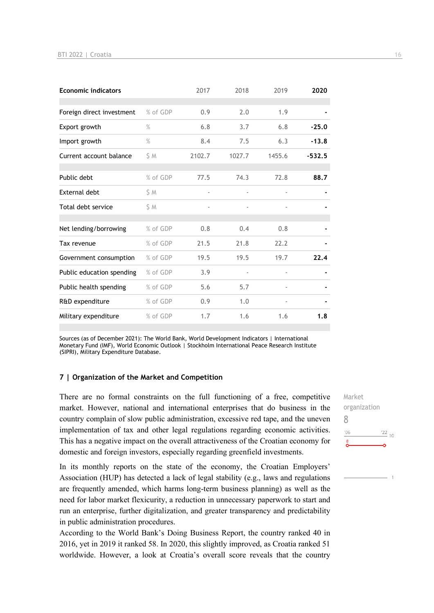| <b>Economic indicators</b> |          | 2017   | 2018   | 2019                     | 2020     |
|----------------------------|----------|--------|--------|--------------------------|----------|
|                            |          |        |        |                          |          |
| Foreign direct investment  | % of GDP | 0.9    | 2.0    | 1.9                      |          |
| Export growth              | $\%$     | 6.8    | 3.7    | 6.8                      | $-25.0$  |
| Import growth              | $\%$     | 8.4    | 7.5    | 6.3                      | $-13.8$  |
| Current account balance    | S M      | 2102.7 | 1027.7 | 1455.6                   | $-532.5$ |
|                            |          |        |        |                          |          |
| Public debt                | % of GDP | 77.5   | 74.3   | 72.8                     | 88.7     |
| External debt              | \$ M     |        |        | $\overline{\phantom{0}}$ |          |
| Total debt service         | S M      |        |        |                          |          |
|                            |          |        |        |                          |          |
| Net lending/borrowing      | % of GDP | 0.8    | 0.4    | 0.8                      |          |
| Tax revenue                | % of GDP | 21.5   | 21.8   | 22.2                     |          |
| Government consumption     | % of GDP | 19.5   | 19.5   | 19.7                     | 22.4     |
| Public education spending  | % of GDP | 3.9    |        |                          |          |
| Public health spending     | % of GDP | 5.6    | 5.7    |                          |          |
| R&D expenditure            | % of GDP | 0.9    | 1.0    | $\overline{\phantom{0}}$ |          |
| Military expenditure       | % of GDP | 1.7    | 1.6    | 1.6                      | 1.8      |

Sources (as of December 2021): The World Bank, World Development Indicators | International Monetary Fund (IMF), World Economic Outlook | Stockholm International Peace Research Institute (SIPRI), Military Expenditure Database.

#### **7 | Organization of the Market and Competition**

There are no formal constraints on the full functioning of a free, competitive market. However, national and international enterprises that do business in the country complain of slow public administration, excessive red tape, and the uneven implementation of tax and other legal regulations regarding economic activities. This has a negative impact on the overall attractiveness of the Croatian economy for domestic and foreign investors, especially regarding greenfield investments.

In its monthly reports on the state of the economy, the Croatian Employers' Association (HUP) has detected a lack of legal stability (e.g., laws and regulations are frequently amended, which harms long-term business planning) as well as the need for labor market flexicurity, a reduction in unnecessary paperwork to start and run an enterprise, further digitalization, and greater transparency and predictability in public administration procedures.

According to the World Bank's Doing Business Report, the country ranked 40 in 2016, yet in 2019 it ranked 58. In 2020, this slightly improved, as Croatia ranked 51 worldwide. However, a look at Croatia's overall score reveals that the country Market organization 8 $\frac{22}{10}$  $106$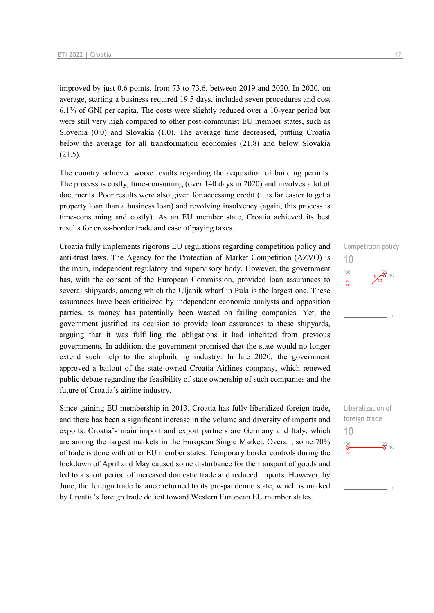improved by just 0.6 points, from 73 to 73.6, between 2019 and 2020. In 2020, on average, starting a business required 19.5 days, included seven procedures and cost 6.1% of GNI per capita. The costs were slightly reduced over a 10-year period but were still very high compared to other post-communist EU member states, such as Slovenia (0.0) and Slovakia (1.0). The average time decreased, putting Croatia below the average for all transformation economies (21.8) and below Slovakia (21.5).

The country achieved worse results regarding the acquisition of building permits. The process is costly, time-consuming (over 140 days in 2020) and involves a lot of documents. Poor results were also given for accessing credit (it is far easier to get a property loan than a business loan) and revolving insolvency (again, this process is time-consuming and costly). As an EU member state, Croatia achieved its best results for cross-border trade and ease of paying taxes.

Croatia fully implements rigorous EU regulations regarding competition policy and anti-trust laws. The Agency for the Protection of Market Competition (AZVO) is the main, independent regulatory and supervisory body. However, the government has, with the consent of the European Commission, provided loan assurances to several shipyards, among which the Uljanik wharf in Pula is the largest one. These assurances have been criticized by independent economic analysts and opposition parties, as money has potentially been wasted on failing companies. Yet, the government justified its decision to provide loan assurances to these shipyards, arguing that it was fulfilling the obligations it had inherited from previous governments. In addition, the government promised that the state would no longer extend such help to the shipbuilding industry. In late 2020, the government approved a bailout of the state-owned Croatia Airlines company, which renewed public debate regarding the feasibility of state ownership of such companies and the future of Croatia's airline industry.

Since gaining EU membership in 2013, Croatia has fully liberalized foreign trade, and there has been a significant increase in the volume and diversity of imports and exports. Croatia's main import and export partners are Germany and Italy, which are among the largest markets in the European Single Market. Overall, some 70% of trade is done with other EU member states. Temporary border controls during the lockdown of April and May caused some disturbance for the transport of goods and led to a short period of increased domestic trade and reduced imports. However, by June, the foreign trade balance returned to its pre-pandemic state, which is marked by Croatia's foreign trade deficit toward Western European EU member states.



Liberalization of foreign trade 10 $\frac{22}{2}$  10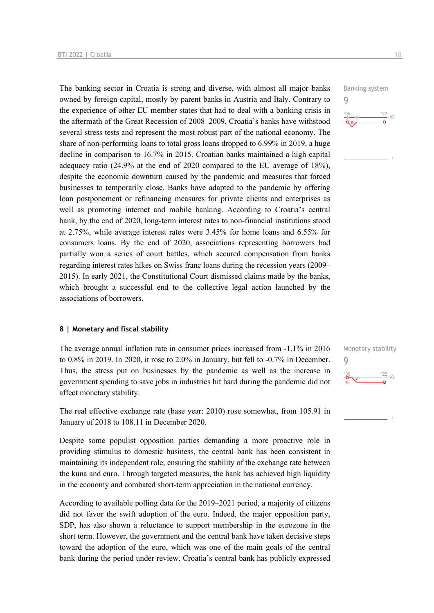The banking sector in Croatia is strong and diverse, with almost all major banks owned by foreign capital, mostly by parent banks in Austria and Italy. Contrary to the experience of other EU member states that had to deal with a banking crisis in the aftermath of the Great Recession of 2008–2009, Croatia's banks have withstood several stress tests and represent the most robust part of the national economy. The share of non-performing loans to total gross loans dropped to 6.99% in 2019, a huge decline in comparison to 16.7% in 2015. Croatian banks maintained a high capital adequacy ratio (24.9% at the end of 2020 compared to the EU average of 18%), despite the economic downturn caused by the pandemic and measures that forced businesses to temporarily close. Banks have adapted to the pandemic by offering loan postponement or refinancing measures for private clients and enterprises as well as promoting internet and mobile banking. According to Croatia's central bank, by the end of 2020, long-term interest rates to non-financial institutions stood at 2.75%, while average interest rates were 3.45% for home loans and 6.55% for consumers loans. By the end of 2020, associations representing borrowers had partially won a series of court battles, which secured compensation from banks regarding interest rates hikes on Swiss franc loans during the recession years (2009– 2015). In early 2021, the Constitutional Court dismissed claims made by the banks, which brought a successful end to the collective legal action launched by the associations of borrowers.

#### **8 | Monetary and fiscal stability**

The average annual inflation rate in consumer prices increased from -1.1% in 2016 to 0.8% in 2019. In 2020, it rose to 2.0% in January, but fell to -0.7% in December. Thus, the stress put on businesses by the pandemic as well as the increase in government spending to save jobs in industries hit hard during the pandemic did not affect monetary stability.

The real effective exchange rate (base year: 2010) rose somewhat, from 105.91 in January of 2018 to 108.11 in December 2020.

Despite some populist opposition parties demanding a more proactive role in providing stimulus to domestic business, the central bank has been consistent in maintaining its independent role, ensuring the stability of the exchange rate between the kuna and euro. Through targeted measures, the bank has achieved high liquidity in the economy and combated short-term appreciation in the national currency.

According to available polling data for the 2019–2021 period, a majority of citizens did not favor the swift adoption of the euro. Indeed, the major opposition party, SDP, has also shown a reluctance to support membership in the eurozone in the short term. However, the government and the central bank have taken decisive steps toward the adoption of the euro, which was one of the main goals of the central bank during the period under review. Croatia's central bank has publicly expressed Banking system 9



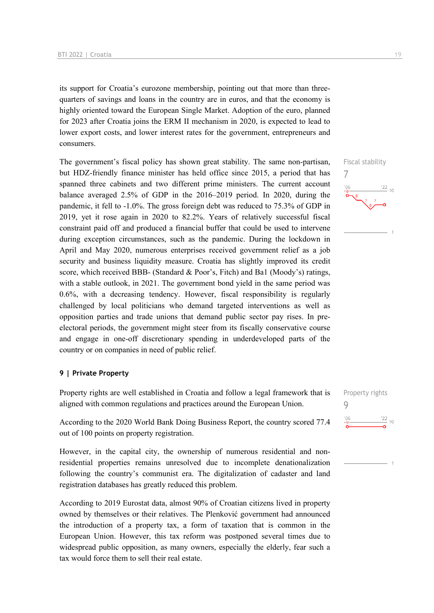its support for Croatia's eurozone membership, pointing out that more than threequarters of savings and loans in the country are in euros, and that the economy is highly oriented toward the European Single Market. Adoption of the euro, planned for 2023 after Croatia joins the ERM II mechanism in 2020, is expected to lead to lower export costs, and lower interest rates for the government, entrepreneurs and consumers.

The government's fiscal policy has shown great stability. The same non-partisan, but HDZ-friendly finance minister has held office since 2015, a period that has spanned three cabinets and two different prime ministers. The current account balance averaged 2.5% of GDP in the 2016–2019 period. In 2020, during the pandemic, it fell to -1.0%. The gross foreign debt was reduced to 75.3% of GDP in 2019, yet it rose again in 2020 to 82.2%. Years of relatively successful fiscal constraint paid off and produced a financial buffer that could be used to intervene during exception circumstances, such as the pandemic. During the lockdown in April and May 2020, numerous enterprises received government relief as a job security and business liquidity measure. Croatia has slightly improved its credit score, which received BBB- (Standard & Poor's, Fitch) and Ba1 (Moody's) ratings, with a stable outlook, in 2021. The government bond yield in the same period was 0.6%, with a decreasing tendency. However, fiscal responsibility is regularly challenged by local politicians who demand targeted interventions as well as opposition parties and trade unions that demand public sector pay rises. In preelectoral periods, the government might steer from its fiscally conservative course and engage in one-off discretionary spending in underdeveloped parts of the country or on companies in need of public relief.

### **9 | Private Property**

Property rights are well established in Croatia and follow a legal framework that is aligned with common regulations and practices around the European Union.

According to the 2020 World Bank Doing Business Report, the country scored 77.4 out of 100 points on property registration.

However, in the capital city, the ownership of numerous residential and nonresidential properties remains unresolved due to incomplete denationalization following the country's communist era. The digitalization of cadaster and land registration databases has greatly reduced this problem.

According to 2019 Eurostat data, almost 90% of Croatian citizens lived in property owned by themselves or their relatives. The Plenković government had announced the introduction of a property tax, a form of taxation that is common in the European Union. However, this tax reform was postponed several times due to widespread public opposition, as many owners, especially the elderly, fear such a tax would force them to sell their real estate.







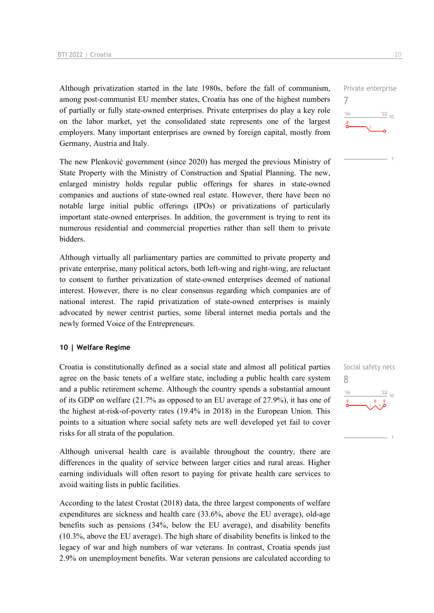Although privatization started in the late 1980s, before the fall of communism, among post-communist EU member states, Croatia has one of the highest numbers of partially or fully state-owned enterprises. Private enterprises do play a key role on the labor market, yet the consolidated state represents one of the largest employers. Many important enterprises are owned by foreign capital, mostly from Germany, Austria and Italy.

The new Plenković government (since 2020) has merged the previous Ministry of State Property with the Ministry of Construction and Spatial Planning. The new, enlarged ministry holds regular public offerings for shares in state-owned companies and auctions of state-owned real estate. However, there have been no notable large initial public offerings (IPOs) or privatizations of particularly important state-owned enterprises. In addition, the government is trying to rent its numerous residential and commercial properties rather than sell them to private bidders.

Although virtually all parliamentary parties are committed to private property and private enterprise, many political actors, both left-wing and right-wing, are reluctant to consent to further privatization of state-owned enterprises deemed of national interest. However, there is no clear consensus regarding which companies are of national interest. The rapid privatization of state-owned enterprises is mainly advocated by newer centrist parties, some liberal internet media portals and the newly formed Voice of the Entrepreneurs.

### **10 | Welfare Regime**

Croatia is constitutionally defined as a social state and almost all political parties agree on the basic tenets of a welfare state, including a public health care system and a public retirement scheme. Although the country spends a substantial amount of its GDP on welfare (21.7% as opposed to an EU average of 27.9%), it has one of the highest at-risk-of-poverty rates (19.4% in 2018) in the European Union. This points to a situation where social safety nets are well developed yet fail to cover risks for all strata of the population.

Although universal health care is available throughout the country, there are differences in the quality of service between larger cities and rural areas. Higher earning individuals will often resort to paying for private health care services to avoid waiting lists in public facilities.

According to the latest Crostat (2018) data, the three largest components of welfare expenditures are sickness and health care (33.6%, above the EU average), old-age benefits such as pensions (34%, below the EU average), and disability benefits (10.3%, above the EU average). The high share of disability benefits is linked to the legacy of war and high numbers of war veterans. In contrast, Croatia spends just 2.9% on unemployment benefits. War veteran pensions are calculated according to Private enterprise 7  $\frac{22}{10}$  $106$ 

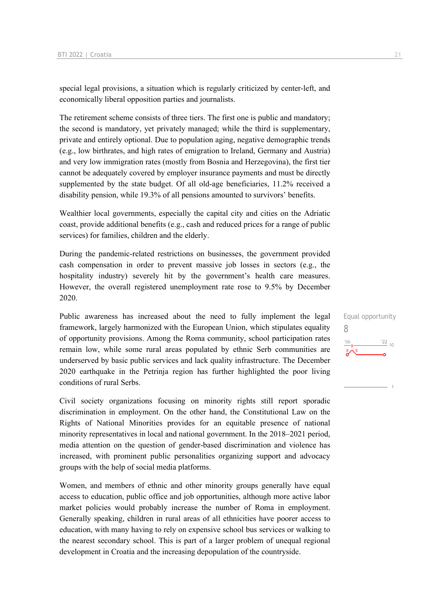special legal provisions, a situation which is regularly criticized by center-left, and economically liberal opposition parties and journalists.

The retirement scheme consists of three tiers. The first one is public and mandatory; the second is mandatory, yet privately managed; while the third is supplementary, private and entirely optional. Due to population aging, negative demographic trends (e.g., low birthrates, and high rates of emigration to Ireland, Germany and Austria) and very low immigration rates (mostly from Bosnia and Herzegovina), the first tier cannot be adequately covered by employer insurance payments and must be directly supplemented by the state budget. Of all old-age beneficiaries, 11.2% received a disability pension, while 19.3% of all pensions amounted to survivors' benefits.

Wealthier local governments, especially the capital city and cities on the Adriatic coast, provide additional benefits (e.g., cash and reduced prices for a range of public services) for families, children and the elderly.

During the pandemic-related restrictions on businesses, the government provided cash compensation in order to prevent massive job losses in sectors (e.g., the hospitality industry) severely hit by the government's health care measures. However, the overall registered unemployment rate rose to 9.5% by December 2020.

Public awareness has increased about the need to fully implement the legal framework, largely harmonized with the European Union, which stipulates equality of opportunity provisions. Among the Roma community, school participation rates remain low, while some rural areas populated by ethnic Serb communities are underserved by basic public services and lack quality infrastructure. The December 2020 earthquake in the Petrinja region has further highlighted the poor living conditions of rural Serbs.

Civil society organizations focusing on minority rights still report sporadic discrimination in employment. On the other hand, the Constitutional Law on the Rights of National Minorities provides for an equitable presence of national minority representatives in local and national government. In the 2018–2021 period, media attention on the question of gender-based discrimination and violence has increased, with prominent public personalities organizing support and advocacy groups with the help of social media platforms.

Women, and members of ethnic and other minority groups generally have equal access to education, public office and job opportunities, although more active labor market policies would probably increase the number of Roma in employment. Generally speaking, children in rural areas of all ethnicities have poorer access to education, with many having to rely on expensive school bus services or walking to the nearest secondary school. This is part of a larger problem of unequal regional development in Croatia and the increasing depopulation of the countryside.

Equal opportunity 8 $\frac{22}{10}$  $'06$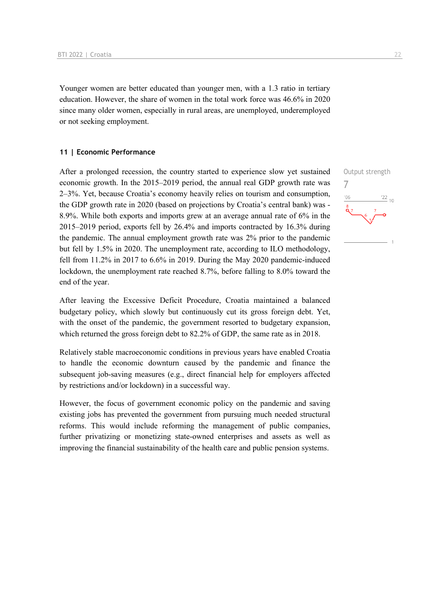Younger women are better educated than younger men, with a 1.3 ratio in tertiary education. However, the share of women in the total work force was 46.6% in 2020 since many older women, especially in rural areas, are unemployed, underemployed or not seeking employment.

### **11 | Economic Performance**

After a prolonged recession, the country started to experience slow yet sustained economic growth. In the 2015–2019 period, the annual real GDP growth rate was 2–3%. Yet, because Croatia's economy heavily relies on tourism and consumption, the GDP growth rate in 2020 (based on projections by Croatia's central bank) was - 8.9%. While both exports and imports grew at an average annual rate of 6% in the 2015–2019 period, exports fell by 26.4% and imports contracted by 16.3% during the pandemic. The annual employment growth rate was 2% prior to the pandemic but fell by 1.5% in 2020. The unemployment rate, according to ILO methodology, fell from 11.2% in 2017 to 6.6% in 2019. During the May 2020 pandemic-induced lockdown, the unemployment rate reached 8.7%, before falling to 8.0% toward the end of the year.

After leaving the Excessive Deficit Procedure, Croatia maintained a balanced budgetary policy, which slowly but continuously cut its gross foreign debt. Yet, with the onset of the pandemic, the government resorted to budgetary expansion, which returned the gross foreign debt to 82.2% of GDP, the same rate as in 2018.

Relatively stable macroeconomic conditions in previous years have enabled Croatia to handle the economic downturn caused by the pandemic and finance the subsequent job-saving measures (e.g., direct financial help for employers affected by restrictions and/or lockdown) in a successful way.

However, the focus of government economic policy on the pandemic and saving existing jobs has prevented the government from pursuing much needed structural reforms. This would include reforming the management of public companies, further privatizing or monetizing state-owned enterprises and assets as well as improving the financial sustainability of the health care and public pension systems.

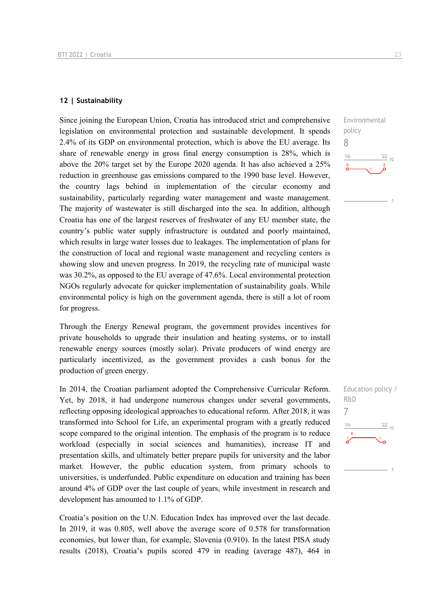### **12 | Sustainability**

Since joining the European Union, Croatia has introduced strict and comprehensive legislation on environmental protection and sustainable development. It spends 2.4% of its GDP on environmental protection, which is above the EU average. Its share of renewable energy in gross final energy consumption is 28%, which is above the 20% target set by the Europe 2020 agenda. It has also achieved a 25% reduction in greenhouse gas emissions compared to the 1990 base level. However, the country lags behind in implementation of the circular economy and sustainability, particularly regarding water management and waste management. The majority of wastewater is still discharged into the sea. In addition, although Croatia has one of the largest reserves of freshwater of any EU member state, the country's public water supply infrastructure is outdated and poorly maintained, which results in large water losses due to leakages. The implementation of plans for the construction of local and regional waste management and recycling centers is showing slow and uneven progress. In 2019, the recycling rate of municipal waste was 30.2%, as opposed to the EU average of 47.6%. Local environmental protection NGOs regularly advocate for quicker implementation of sustainability goals. While environmental policy is high on the government agenda, there is still a lot of room for progress.

Through the Energy Renewal program, the government provides incentives for private households to upgrade their insulation and heating systems, or to install renewable energy sources (mostly solar). Private producers of wind energy are particularly incentivized, as the government provides a cash bonus for the production of green energy.

In 2014, the Croatian parliament adopted the Comprehensive Curricular Reform. Yet, by 2018, it had undergone numerous changes under several governments, reflecting opposing ideological approaches to educational reform. After 2018, it was transformed into School for Life, an experimental program with a greatly reduced scope compared to the original intention. The emphasis of the program is to reduce workload (especially in social sciences and humanities), increase IT and presentation skills, and ultimately better prepare pupils for university and the labor market. However, the public education system, from primary schools to universities, is underfunded. Public expenditure on education and training has been around 4% of GDP over the last couple of years, while investment in research and development has amounted to 1.1% of GDP.

Croatia's position on the U.N. Education Index has improved over the last decade. In 2019, it was 0.805, well above the average score of 0.578 for transformation economies, but lower than, for example, Slovenia (0.910). In the latest PISA study results (2018), Croatia's pupils scored 479 in reading (average 487), 464 in



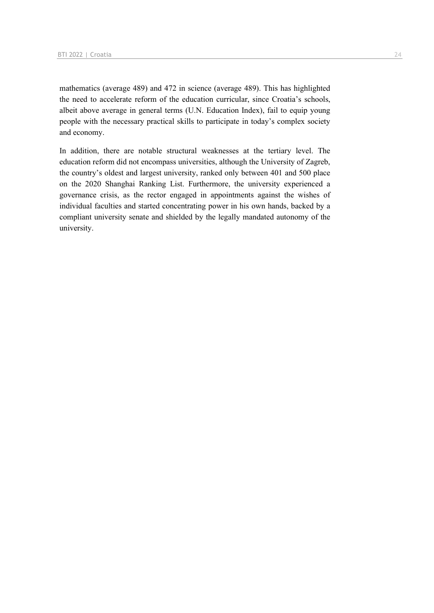mathematics (average 489) and 472 in science (average 489). This has highlighted the need to accelerate reform of the education curricular, since Croatia's schools, albeit above average in general terms (U.N. Education Index), fail to equip young people with the necessary practical skills to participate in today's complex society and economy.

In addition, there are notable structural weaknesses at the tertiary level. The education reform did not encompass universities, although the University of Zagreb, the country's oldest and largest university, ranked only between 401 and 500 place on the 2020 Shanghai Ranking List. Furthermore, the university experienced a governance crisis, as the rector engaged in appointments against the wishes of individual faculties and started concentrating power in his own hands, backed by a compliant university senate and shielded by the legally mandated autonomy of the university.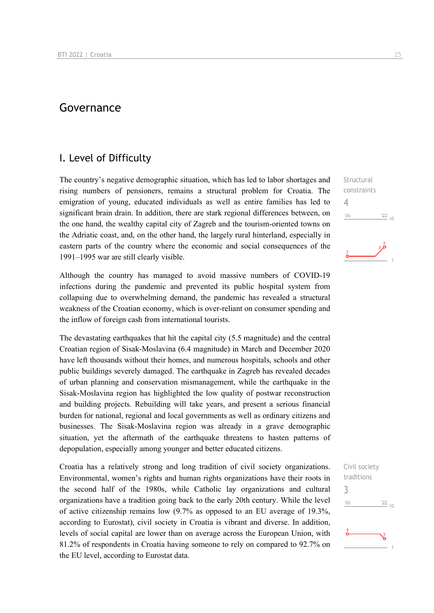### Governance

### I. Level of Difficulty

The country's negative demographic situation, which has led to labor shortages and rising numbers of pensioners, remains a structural problem for Croatia. The emigration of young, educated individuals as well as entire families has led to significant brain drain. In addition, there are stark regional differences between, on the one hand, the wealthy capital city of Zagreb and the tourism-oriented towns on the Adriatic coast, and, on the other hand, the largely rural hinterland, especially in eastern parts of the country where the economic and social consequences of the 1991–1995 war are still clearly visible.

Although the country has managed to avoid massive numbers of COVID-19 infections during the pandemic and prevented its public hospital system from collapsing due to overwhelming demand, the pandemic has revealed a structural weakness of the Croatian economy, which is over-reliant on consumer spending and the inflow of foreign cash from international tourists.

The devastating earthquakes that hit the capital city (5.5 magnitude) and the central Croatian region of Sisak-Moslavina (6.4 magnitude) in March and December 2020 have left thousands without their homes, and numerous hospitals, schools and other public buildings severely damaged. The earthquake in Zagreb has revealed decades of urban planning and conservation mismanagement, while the earthquake in the Sisak-Moslavina region has highlighted the low quality of postwar reconstruction and building projects. Rebuilding will take years, and present a serious financial burden for national, regional and local governments as well as ordinary citizens and businesses. The Sisak-Moslavina region was already in a grave demographic situation, yet the aftermath of the earthquake threatens to hasten patterns of depopulation, especially among younger and better educated citizens.

Croatia has a relatively strong and long tradition of civil society organizations. Environmental, women's rights and human rights organizations have their roots in the second half of the 1980s, while Catholic lay organizations and cultural organizations have a tradition going back to the early 20th century. While the level of active citizenship remains low (9.7% as opposed to an EU average of 19.3%, according to Eurostat), civil society in Croatia is vibrant and diverse. In addition, levels of social capital are lower than on average across the European Union, with 81.2% of respondents in Croatia having someone to rely on compared to 92.7% on the EU level, according to Eurostat data.

**Structural** constraints 4  $n<sub>6</sub>$  $\frac{22}{10}$ 



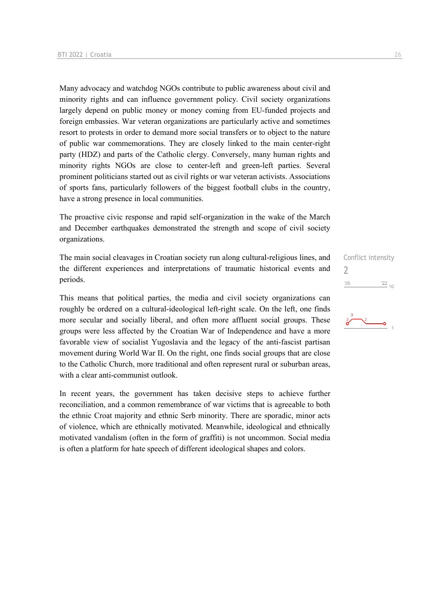Many advocacy and watchdog NGOs contribute to public awareness about civil and minority rights and can influence government policy. Civil society organizations largely depend on public money or money coming from EU-funded projects and foreign embassies. War veteran organizations are particularly active and sometimes resort to protests in order to demand more social transfers or to object to the nature of public war commemorations. They are closely linked to the main center-right party (HDZ) and parts of the Catholic clergy. Conversely, many human rights and minority rights NGOs are close to center-left and green-left parties. Several prominent politicians started out as civil rights or war veteran activists. Associations of sports fans, particularly followers of the biggest football clubs in the country, have a strong presence in local communities.

The proactive civic response and rapid self-organization in the wake of the March and December earthquakes demonstrated the strength and scope of civil society organizations.

The main social cleavages in Croatian society run along cultural-religious lines, and the different experiences and interpretations of traumatic historical events and periods.

This means that political parties, the media and civil society organizations can roughly be ordered on a cultural-ideological left-right scale. On the left, one finds more secular and socially liberal, and often more affluent social groups. These groups were less affected by the Croatian War of Independence and have a more favorable view of socialist Yugoslavia and the legacy of the anti-fascist partisan movement during World War II. On the right, one finds social groups that are close to the Catholic Church, more traditional and often represent rural or suburban areas, with a clear anti-communist outlook.

In recent years, the government has taken decisive steps to achieve further reconciliation, and a common remembrance of war victims that is agreeable to both the ethnic Croat majority and ethnic Serb minority. There are sporadic, minor acts of violence, which are ethnically motivated. Meanwhile, ideological and ethnically motivated vandalism (often in the form of graffiti) is not uncommon. Social media is often a platform for hate speech of different ideological shapes and colors.

Conflict intensity  $\overline{\phantom{0}}$  $^{\prime}06$  $\frac{22}{10}$ 

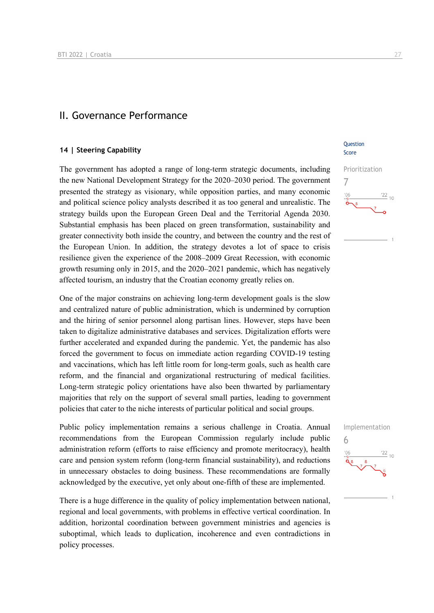### II. Governance Performance

### **14 | Steering Capability**

The government has adopted a range of long-term strategic documents, including the new National Development Strategy for the 2020–2030 period. The government presented the strategy as visionary, while opposition parties, and many economic and political science policy analysts described it as too general and unrealistic. The strategy builds upon the European Green Deal and the Territorial Agenda 2030. Substantial emphasis has been placed on green transformation, sustainability and greater connectivity both inside the country, and between the country and the rest of the European Union. In addition, the strategy devotes a lot of space to crisis resilience given the experience of the 2008–2009 Great Recession, with economic growth resuming only in 2015, and the 2020–2021 pandemic, which has negatively affected tourism, an industry that the Croatian economy greatly relies on.

One of the major constrains on achieving long-term development goals is the slow and centralized nature of public administration, which is undermined by corruption and the hiring of senior personnel along partisan lines. However, steps have been taken to digitalize administrative databases and services. Digitalization efforts were further accelerated and expanded during the pandemic. Yet, the pandemic has also forced the government to focus on immediate action regarding COVID-19 testing and vaccinations, which has left little room for long-term goals, such as health care reform, and the financial and organizational restructuring of medical facilities. Long-term strategic policy orientations have also been thwarted by parliamentary majorities that rely on the support of several small parties, leading to government policies that cater to the niche interests of particular political and social groups.

Public policy implementation remains a serious challenge in Croatia. Annual recommendations from the European Commission regularly include public administration reform (efforts to raise efficiency and promote meritocracy), health care and pension system reform (long-term financial sustainability), and reductions in unnecessary obstacles to doing business. These recommendations are formally acknowledged by the executive, yet only about one-fifth of these are implemented.

There is a huge difference in the quality of policy implementation between national, regional and local governments, with problems in effective vertical coordination. In addition, horizontal coordination between government ministries and agencies is suboptimal, which leads to duplication, incoherence and even contradictions in policy processes.

### **Ouestion** Score



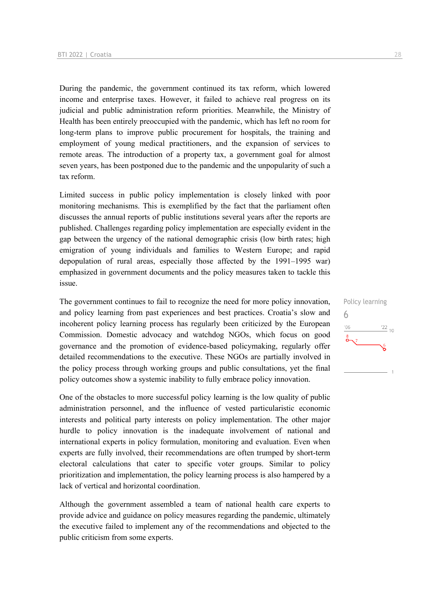During the pandemic, the government continued its tax reform, which lowered income and enterprise taxes. However, it failed to achieve real progress on its judicial and public administration reform priorities. Meanwhile, the Ministry of Health has been entirely preoccupied with the pandemic, which has left no room for long-term plans to improve public procurement for hospitals, the training and employment of young medical practitioners, and the expansion of services to remote areas. The introduction of a property tax, a government goal for almost seven years, has been postponed due to the pandemic and the unpopularity of such a tax reform.

Limited success in public policy implementation is closely linked with poor monitoring mechanisms. This is exemplified by the fact that the parliament often discusses the annual reports of public institutions several years after the reports are published. Challenges regarding policy implementation are especially evident in the gap between the urgency of the national demographic crisis (low birth rates; high emigration of young individuals and families to Western Europe; and rapid depopulation of rural areas, especially those affected by the 1991–1995 war) emphasized in government documents and the policy measures taken to tackle this issue.

The government continues to fail to recognize the need for more policy innovation, and policy learning from past experiences and best practices. Croatia's slow and incoherent policy learning process has regularly been criticized by the European Commission. Domestic advocacy and watchdog NGOs, which focus on good governance and the promotion of evidence-based policymaking, regularly offer detailed recommendations to the executive. These NGOs are partially involved in the policy process through working groups and public consultations, yet the final policy outcomes show a systemic inability to fully embrace policy innovation.

One of the obstacles to more successful policy learning is the low quality of public administration personnel, and the influence of vested particularistic economic interests and political party interests on policy implementation. The other major hurdle to policy innovation is the inadequate involvement of national and international experts in policy formulation, monitoring and evaluation. Even when experts are fully involved, their recommendations are often trumped by short-term electoral calculations that cater to specific voter groups. Similar to policy prioritization and implementation, the policy learning process is also hampered by a lack of vertical and horizontal coordination.

Although the government assembled a team of national health care experts to provide advice and guidance on policy measures regarding the pandemic, ultimately the executive failed to implement any of the recommendations and objected to the public criticism from some experts.

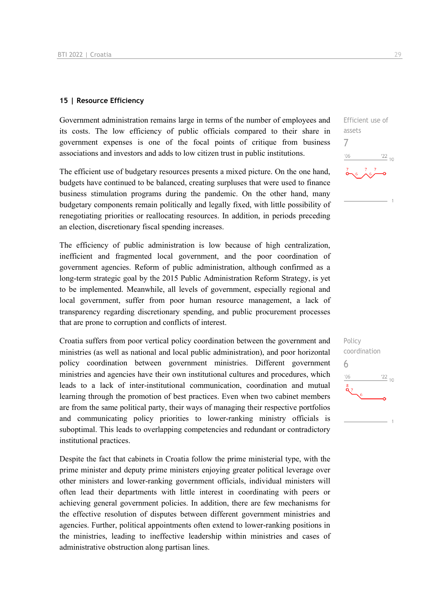### **15 | Resource Efficiency**

Government administration remains large in terms of the number of employees and its costs. The low efficiency of public officials compared to their share in government expenses is one of the focal points of critique from business associations and investors and adds to low citizen trust in public institutions.

The efficient use of budgetary resources presents a mixed picture. On the one hand, budgets have continued to be balanced, creating surpluses that were used to finance business stimulation programs during the pandemic. On the other hand, many budgetary components remain politically and legally fixed, with little possibility of renegotiating priorities or reallocating resources. In addition, in periods preceding an election, discretionary fiscal spending increases.

The efficiency of public administration is low because of high centralization, inefficient and fragmented local government, and the poor coordination of government agencies. Reform of public administration, although confirmed as a long-term strategic goal by the 2015 Public Administration Reform Strategy, is yet to be implemented. Meanwhile, all levels of government, especially regional and local government, suffer from poor human resource management, a lack of transparency regarding discretionary spending, and public procurement processes that are prone to corruption and conflicts of interest.

Croatia suffers from poor vertical policy coordination between the government and ministries (as well as national and local public administration), and poor horizontal policy coordination between government ministries. Different government ministries and agencies have their own institutional cultures and procedures, which leads to a lack of inter-institutional communication, coordination and mutual learning through the promotion of best practices. Even when two cabinet members are from the same political party, their ways of managing their respective portfolios and communicating policy priorities to lower-ranking ministry officials is suboptimal. This leads to overlapping competencies and redundant or contradictory institutional practices.

Despite the fact that cabinets in Croatia follow the prime ministerial type, with the prime minister and deputy prime ministers enjoying greater political leverage over other ministers and lower-ranking government officials, individual ministers will often lead their departments with little interest in coordinating with peers or achieving general government policies. In addition, there are few mechanisms for the effective resolution of disputes between different government ministries and agencies. Further, political appointments often extend to lower-ranking positions in the ministries, leading to ineffective leadership within ministries and cases of administrative obstruction along partisan lines.

 $^{22}_{-10}$ 

Efficient use of

assets 7

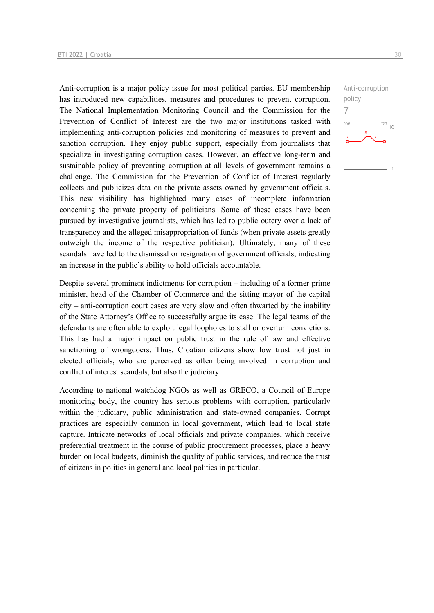Anti-corruption is a major policy issue for most political parties. EU membership has introduced new capabilities, measures and procedures to prevent corruption. The National Implementation Monitoring Council and the Commission for the Prevention of Conflict of Interest are the two major institutions tasked with implementing anti-corruption policies and monitoring of measures to prevent and sanction corruption. They enjoy public support, especially from journalists that specialize in investigating corruption cases. However, an effective long-term and sustainable policy of preventing corruption at all levels of government remains a challenge. The Commission for the Prevention of Conflict of Interest regularly collects and publicizes data on the private assets owned by government officials. This new visibility has highlighted many cases of incomplete information concerning the private property of politicians. Some of these cases have been pursued by investigative journalists, which has led to public outcry over a lack of transparency and the alleged misappropriation of funds (when private assets greatly outweigh the income of the respective politician). Ultimately, many of these scandals have led to the dismissal or resignation of government officials, indicating an increase in the public's ability to hold officials accountable.

Despite several prominent indictments for corruption – including of a former prime minister, head of the Chamber of Commerce and the sitting mayor of the capital city – anti-corruption court cases are very slow and often thwarted by the inability of the State Attorney's Office to successfully argue its case. The legal teams of the defendants are often able to exploit legal loopholes to stall or overturn convictions. This has had a major impact on public trust in the rule of law and effective sanctioning of wrongdoers. Thus, Croatian citizens show low trust not just in elected officials, who are perceived as often being involved in corruption and conflict of interest scandals, but also the judiciary.

According to national watchdog NGOs as well as GRECO, a Council of Europe monitoring body, the country has serious problems with corruption, particularly within the judiciary, public administration and state-owned companies. Corrupt practices are especially common in local government, which lead to local state capture. Intricate networks of local officials and private companies, which receive preferential treatment in the course of public procurement processes, place a heavy burden on local budgets, diminish the quality of public services, and reduce the trust of citizens in politics in general and local politics in particular.

Anti-corruption policy 7 $-06$  $\frac{22}{10}$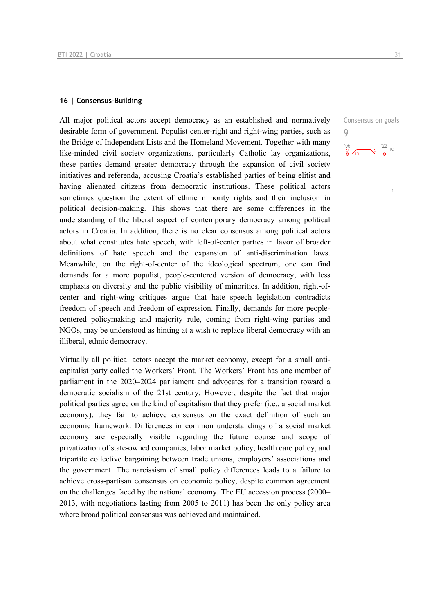### **16 | Consensus-Building**

All major political actors accept democracy as an established and normatively desirable form of government. Populist center-right and right-wing parties, such as the Bridge of Independent Lists and the Homeland Movement. Together with many like-minded civil society organizations, particularly Catholic lay organizations, these parties demand greater democracy through the expansion of civil society initiatives and referenda, accusing Croatia's established parties of being elitist and having alienated citizens from democratic institutions. These political actors sometimes question the extent of ethnic minority rights and their inclusion in political decision-making. This shows that there are some differences in the understanding of the liberal aspect of contemporary democracy among political actors in Croatia. In addition, there is no clear consensus among political actors about what constitutes hate speech, with left-of-center parties in favor of broader definitions of hate speech and the expansion of anti-discrimination laws. Meanwhile, on the right-of-center of the ideological spectrum, one can find demands for a more populist, people-centered version of democracy, with less emphasis on diversity and the public visibility of minorities. In addition, right-ofcenter and right-wing critiques argue that hate speech legislation contradicts freedom of speech and freedom of expression. Finally, demands for more peoplecentered policymaking and majority rule, coming from right-wing parties and NGOs, may be understood as hinting at a wish to replace liberal democracy with an illiberal, ethnic democracy.

Virtually all political actors accept the market economy, except for a small anticapitalist party called the Workers' Front. The Workers' Front has one member of parliament in the 2020–2024 parliament and advocates for a transition toward a democratic socialism of the 21st century. However, despite the fact that major political parties agree on the kind of capitalism that they prefer (i.e., a social market economy), they fail to achieve consensus on the exact definition of such an economic framework. Differences in common understandings of a social market economy are especially visible regarding the future course and scope of privatization of state-owned companies, labor market policy, health care policy, and tripartite collective bargaining between trade unions, employers' associations and the government. The narcissism of small policy differences leads to a failure to achieve cross-partisan consensus on economic policy, despite common agreement on the challenges faced by the national economy. The EU accession process (2000– 2013, with negotiations lasting from 2005 to 2011) has been the only policy area where broad political consensus was achieved and maintained.

Consensus on goals 9 $\frac{22}{10}$  10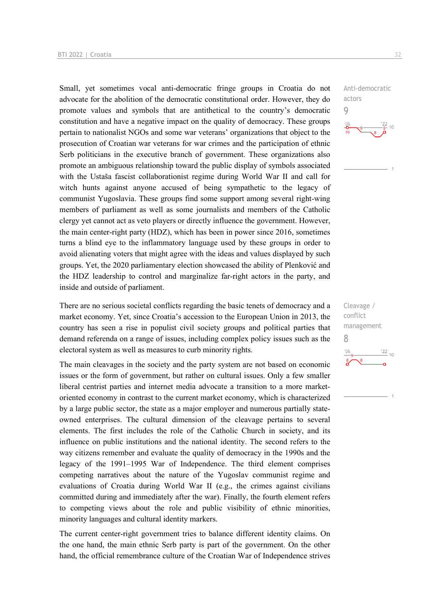Small, yet sometimes vocal anti-democratic fringe groups in Croatia do not advocate for the abolition of the democratic constitutional order. However, they do promote values and symbols that are antithetical to the country's democratic constitution and have a negative impact on the quality of democracy. These groups pertain to nationalist NGOs and some war veterans' organizations that object to the prosecution of Croatian war veterans for war crimes and the participation of ethnic Serb politicians in the executive branch of government. These organizations also promote an ambiguous relationship toward the public display of symbols associated with the Ustaša fascist collaborationist regime during World War II and call for witch hunts against anyone accused of being sympathetic to the legacy of communist Yugoslavia. These groups find some support among several right-wing members of parliament as well as some journalists and members of the Catholic clergy yet cannot act as veto players or directly influence the government. However, the main center-right party (HDZ), which has been in power since 2016, sometimes turns a blind eye to the inflammatory language used by these groups in order to avoid alienating voters that might agree with the ideas and values displayed by such groups. Yet, the 2020 parliamentary election showcased the ability of Plenković and the HDZ leadership to control and marginalize far-right actors in the party, and inside and outside of parliament.

There are no serious societal conflicts regarding the basic tenets of democracy and a market economy. Yet, since Croatia's accession to the European Union in 2013, the country has seen a rise in populist civil society groups and political parties that demand referenda on a range of issues, including complex policy issues such as the electoral system as well as measures to curb minority rights.

The main cleavages in the society and the party system are not based on economic issues or the form of government, but rather on cultural issues. Only a few smaller liberal centrist parties and internet media advocate a transition to a more marketoriented economy in contrast to the current market economy, which is characterized by a large public sector, the state as a major employer and numerous partially stateowned enterprises. The cultural dimension of the cleavage pertains to several elements. The first includes the role of the Catholic Church in society, and its influence on public institutions and the national identity. The second refers to the way citizens remember and evaluate the quality of democracy in the 1990s and the legacy of the 1991–1995 War of Independence. The third element comprises competing narratives about the nature of the Yugoslav communist regime and evaluations of Croatia during World War II (e.g., the crimes against civilians committed during and immediately after the war). Finally, the fourth element refers to competing views about the role and public visibility of ethnic minorities, minority languages and cultural identity markers.

The current center-right government tries to balance different identity claims. On the one hand, the main ethnic Serb party is part of the government. On the other hand, the official remembrance culture of the Croatian War of Independence strives Anti-democratic actors 9  $10$ 

Cleavage / conflict management 8 $\frac{22}{10}$  $'06$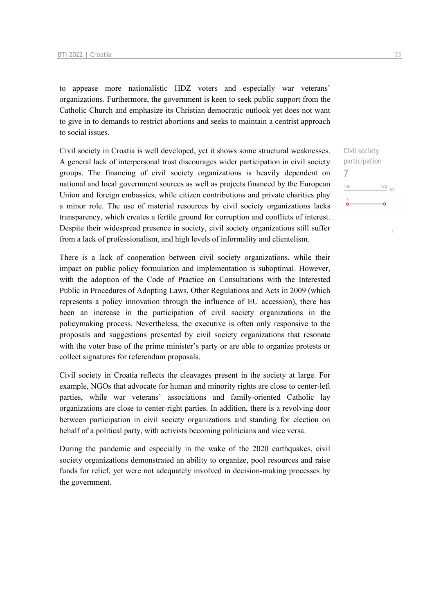to appease more nationalistic HDZ voters and especially war veterans' organizations. Furthermore, the government is keen to seek public support from the Catholic Church and emphasize its Christian democratic outlook yet does not want to give in to demands to restrict abortions and seeks to maintain a centrist approach to social issues.

Civil society in Croatia is well developed, yet it shows some structural weaknesses. A general lack of interpersonal trust discourages wider participation in civil society groups. The financing of civil society organizations is heavily dependent on national and local government sources as well as projects financed by the European Union and foreign embassies, while citizen contributions and private charities play a minor role. The use of material resources by civil society organizations lacks transparency, which creates a fertile ground for corruption and conflicts of interest. Despite their widespread presence in society, civil society organizations still suffer from a lack of professionalism, and high levels of informality and clientelism.

There is a lack of cooperation between civil society organizations, while their impact on public policy formulation and implementation is suboptimal. However, with the adoption of the Code of Practice on Consultations with the Interested Public in Procedures of Adopting Laws, Other Regulations and Acts in 2009 (which represents a policy innovation through the influence of EU accession), there has been an increase in the participation of civil society organizations in the policymaking process. Nevertheless, the executive is often only responsive to the proposals and suggestions presented by civil society organizations that resonate with the voter base of the prime minister's party or are able to organize protests or collect signatures for referendum proposals.

Civil society in Croatia reflects the cleavages present in the society at large. For example, NGOs that advocate for human and minority rights are close to center-left parties, while war veterans' associations and family-oriented Catholic lay organizations are close to center-right parties. In addition, there is a revolving door between participation in civil society organizations and standing for election on behalf of a political party, with activists becoming politicians and vice versa.

During the pandemic and especially in the wake of the 2020 earthquakes, civil society organizations demonstrated an ability to organize, pool resources and raise funds for relief, yet were not adequately involved in decision-making processes by the government.

Civil society participation 7 $\frac{22}{10}$  $'06$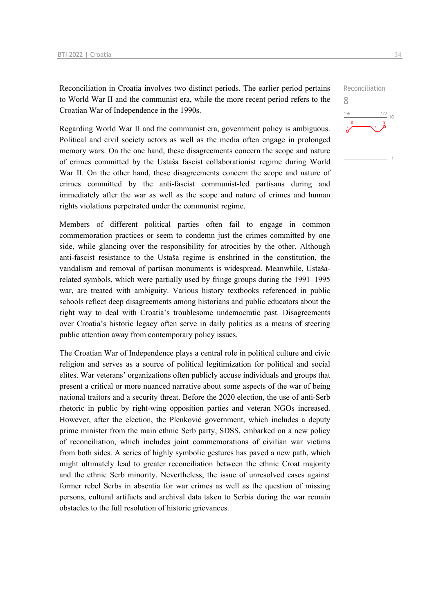Reconciliation in Croatia involves two distinct periods. The earlier period pertains to World War II and the communist era, while the more recent period refers to the Croatian War of Independence in the 1990s.

Regarding World War II and the communist era, government policy is ambiguous. Political and civil society actors as well as the media often engage in prolonged memory wars. On the one hand, these disagreements concern the scope and nature of crimes committed by the Ustaša fascist collaborationist regime during World War II. On the other hand, these disagreements concern the scope and nature of crimes committed by the anti-fascist communist-led partisans during and immediately after the war as well as the scope and nature of crimes and human rights violations perpetrated under the communist regime.

Members of different political parties often fail to engage in common commemoration practices or seem to condemn just the crimes committed by one side, while glancing over the responsibility for atrocities by the other. Although anti-fascist resistance to the Ustaša regime is enshrined in the constitution, the vandalism and removal of partisan monuments is widespread. Meanwhile, Ustašarelated symbols, which were partially used by fringe groups during the 1991–1995 war, are treated with ambiguity. Various history textbooks referenced in public schools reflect deep disagreements among historians and public educators about the right way to deal with Croatia's troublesome undemocratic past. Disagreements over Croatia's historic legacy often serve in daily politics as a means of steering public attention away from contemporary policy issues.

The Croatian War of Independence plays a central role in political culture and civic religion and serves as a source of political legitimization for political and social elites. War veterans' organizations often publicly accuse individuals and groups that present a critical or more nuanced narrative about some aspects of the war of being national traitors and a security threat. Before the 2020 election, the use of anti-Serb rhetoric in public by right-wing opposition parties and veteran NGOs increased. However, after the election, the Plenković government, which includes a deputy prime minister from the main ethnic Serb party, SDSS, embarked on a new policy of reconciliation, which includes joint commemorations of civilian war victims from both sides. A series of highly symbolic gestures has paved a new path, which might ultimately lead to greater reconciliation between the ethnic Croat majority and the ethnic Serb minority. Nevertheless, the issue of unresolved cases against former rebel Serbs in absentia for war crimes as well as the question of missing persons, cultural artifacts and archival data taken to Serbia during the war remain obstacles to the full resolution of historic grievances.

Reconciliation 8 $\frac{22}{10}$  $'06$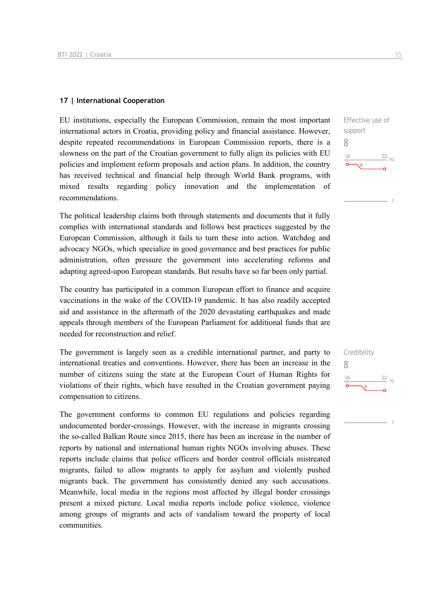#### **17 | International Cooperation**

EU institutions, especially the European Commission, remain the most important international actors in Croatia, providing policy and financial assistance. However, despite repeated recommendations in European Commission reports, there is a slowness on the part of the Croatian government to fully align its policies with EU policies and implement reform proposals and action plans. In addition, the country has received technical and financial help through World Bank programs, with mixed results regarding policy innovation and the implementation of recommendations.

The political leadership claims both through statements and documents that it fully complies with international standards and follows best practices suggested by the European Commission, although it fails to turn these into action. Watchdog and advocacy NGOs, which specialize in good governance and best practices for public administration, often pressure the government into accelerating reforms and adapting agreed-upon European standards. But results have so far been only partial.

The country has participated in a common European effort to finance and acquire vaccinations in the wake of the COVID-19 pandemic. It has also readily accepted aid and assistance in the aftermath of the 2020 devastating earthquakes and made appeals through members of the European Parliament for additional funds that are needed for reconstruction and relief.

The government is largely seen as a credible international partner, and party to international treaties and conventions. However, there has been an increase in the number of citizens suing the state at the European Court of Human Rights for violations of their rights, which have resulted in the Croatian government paying compensation to citizens.

The government conforms to common EU regulations and policies regarding undocumented border-crossings. However, with the increase in migrants crossing the so-called Balkan Route since 2015, there has been an increase in the number of reports by national and international human rights NGOs involving abuses. These reports include claims that police officers and border control officials mistreated migrants, failed to allow migrants to apply for asylum and violently pushed migrants back. The government has consistently denied any such accusations. Meanwhile, local media in the regions most affected by illegal border crossings present a mixed picture. Local media reports include police violence, violence among groups of migrants and acts of vandalism toward the property of local communities.





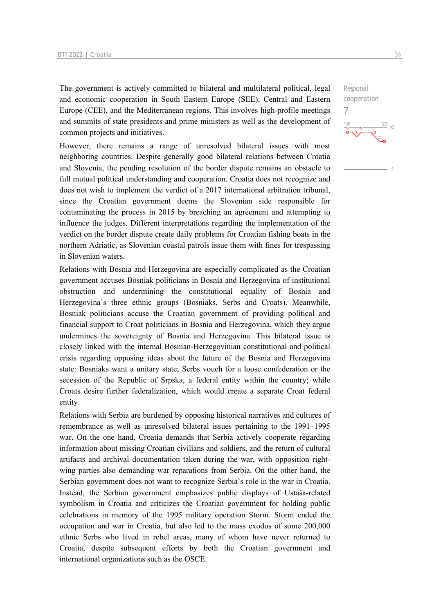The government is actively committed to bilateral and multilateral political, legal and economic cooperation in South Eastern Europe (SEE), Central and Eastern Europe (CEE), and the Mediterranean regions. This involves high-profile meetings and summits of state presidents and prime ministers as well as the development of common projects and initiatives.

However, there remains a range of unresolved bilateral issues with most neighboring countries. Despite generally good bilateral relations between Croatia and Slovenia, the pending resolution of the border dispute remains an obstacle to full mutual political understanding and cooperation. Croatia does not recognize and does not wish to implement the verdict of a 2017 international arbitration tribunal, since the Croatian government deems the Slovenian side responsible for contaminating the process in 2015 by breaching an agreement and attempting to influence the judges. Different interpretations regarding the implementation of the verdict on the border dispute create daily problems for Croatian fishing boats in the northern Adriatic, as Slovenian coastal patrols issue them with fines for trespassing in Slovenian waters.

Relations with Bosnia and Herzegovina are especially complicated as the Croatian government accuses Bosniak politicians in Bosnia and Herzegovina of institutional obstruction and undermining the constitutional equality of Bosnia and Herzegovina's three ethnic groups (Bosniaks, Serbs and Croats). Meanwhile, Bosniak politicians accuse the Croatian government of providing political and financial support to Croat politicians in Bosnia and Herzegovina, which they argue undermines the sovereignty of Bosnia and Herzegovina. This bilateral issue is closely linked with the internal Bosnian-Herzegovinian constitutional and political crisis regarding opposing ideas about the future of the Bosnia and Herzegovina state: Bosniaks want a unitary state; Serbs vouch for a loose confederation or the secession of the Republic of Srpska, a federal entity within the country; while Croats desire further federalization, which would create a separate Croat federal entity.

Relations with Serbia are burdened by opposing historical narratives and cultures of remembrance as well as unresolved bilateral issues pertaining to the 1991–1995 war. On the one hand, Croatia demands that Serbia actively cooperate regarding information about missing Croatian civilians and soldiers, and the return of cultural artifacts and archival documentation taken during the war, with opposition rightwing parties also demanding war reparations from Serbia. On the other hand, the Serbian government does not want to recognize Serbia's role in the war in Croatia. Instead, the Serbian government emphasizes public displays of Ustaša-related symbolism in Croatia and criticizes the Croatian government for holding public celebrations in memory of the 1995 military operation Storm. Storm ended the occupation and war in Croatia, but also led to the mass exodus of some 200,000 ethnic Serbs who lived in rebel areas, many of whom have never returned to Croatia, despite subsequent efforts by both the Croatian government and international organizations such as the OSCE.

Regional cooperation

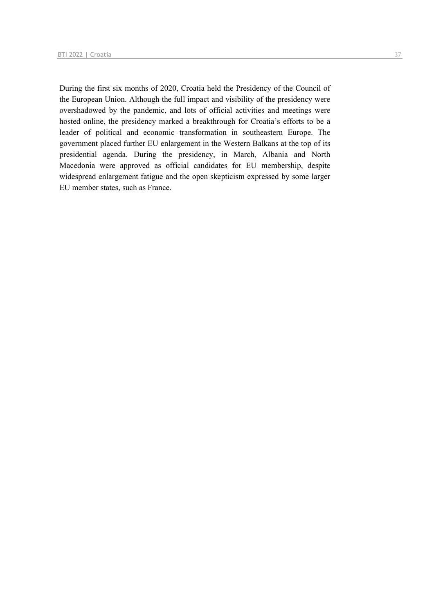During the first six months of 2020, Croatia held the Presidency of the Council of the European Union. Although the full impact and visibility of the presidency were overshadowed by the pandemic, and lots of official activities and meetings were hosted online, the presidency marked a breakthrough for Croatia's efforts to be a leader of political and economic transformation in southeastern Europe. The government placed further EU enlargement in the Western Balkans at the top of its presidential agenda. During the presidency, in March, Albania and North Macedonia were approved as official candidates for EU membership, despite widespread enlargement fatigue and the open skepticism expressed by some larger EU member states, such as France.